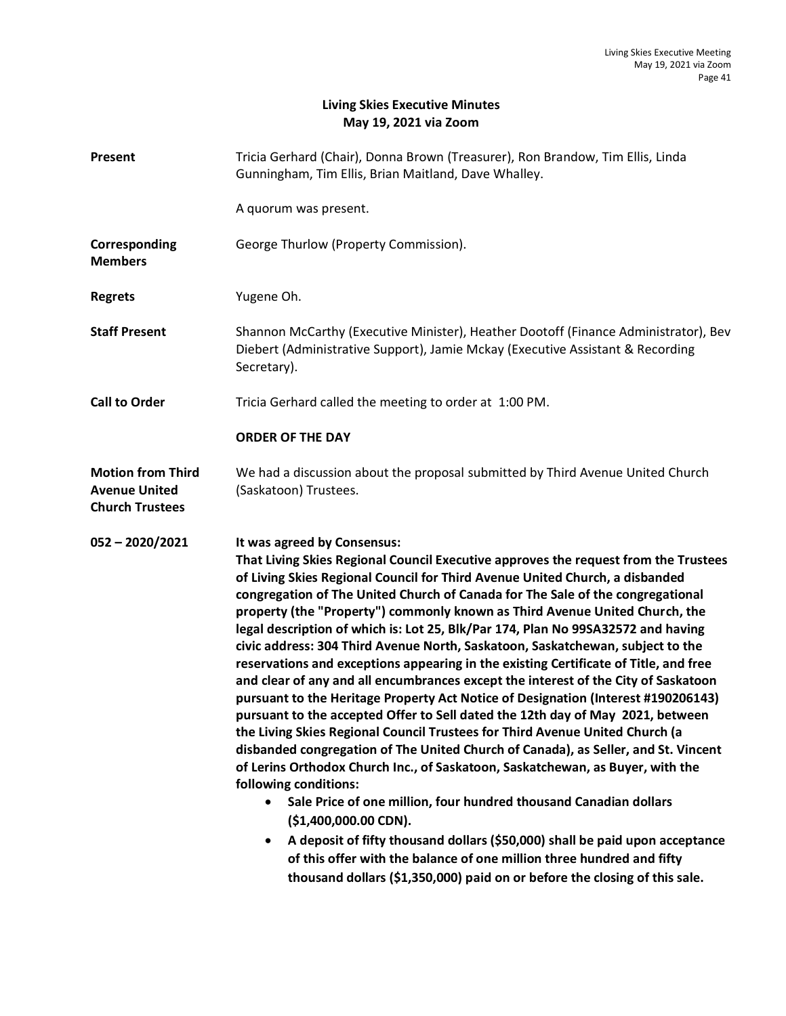## **Living Skies Executive Minutes May 19, 2021 via Zoom**

| Present                                                                    | Tricia Gerhard (Chair), Donna Brown (Treasurer), Ron Brandow, Tim Ellis, Linda<br>Gunningham, Tim Ellis, Brian Maitland, Dave Whalley.                                                                                                                                                                                                                                                                                                                                                                                                                                                                                                                                                                                                                                                                                                                                                                                                                                                                                                                                                                                                                                                                                                                                                                                                                                                                                                                                                                                                         |
|----------------------------------------------------------------------------|------------------------------------------------------------------------------------------------------------------------------------------------------------------------------------------------------------------------------------------------------------------------------------------------------------------------------------------------------------------------------------------------------------------------------------------------------------------------------------------------------------------------------------------------------------------------------------------------------------------------------------------------------------------------------------------------------------------------------------------------------------------------------------------------------------------------------------------------------------------------------------------------------------------------------------------------------------------------------------------------------------------------------------------------------------------------------------------------------------------------------------------------------------------------------------------------------------------------------------------------------------------------------------------------------------------------------------------------------------------------------------------------------------------------------------------------------------------------------------------------------------------------------------------------|
|                                                                            | A quorum was present.                                                                                                                                                                                                                                                                                                                                                                                                                                                                                                                                                                                                                                                                                                                                                                                                                                                                                                                                                                                                                                                                                                                                                                                                                                                                                                                                                                                                                                                                                                                          |
| Corresponding<br><b>Members</b>                                            | George Thurlow (Property Commission).                                                                                                                                                                                                                                                                                                                                                                                                                                                                                                                                                                                                                                                                                                                                                                                                                                                                                                                                                                                                                                                                                                                                                                                                                                                                                                                                                                                                                                                                                                          |
| <b>Regrets</b>                                                             | Yugene Oh.                                                                                                                                                                                                                                                                                                                                                                                                                                                                                                                                                                                                                                                                                                                                                                                                                                                                                                                                                                                                                                                                                                                                                                                                                                                                                                                                                                                                                                                                                                                                     |
| <b>Staff Present</b>                                                       | Shannon McCarthy (Executive Minister), Heather Dootoff (Finance Administrator), Bev<br>Diebert (Administrative Support), Jamie Mckay (Executive Assistant & Recording<br>Secretary).                                                                                                                                                                                                                                                                                                                                                                                                                                                                                                                                                                                                                                                                                                                                                                                                                                                                                                                                                                                                                                                                                                                                                                                                                                                                                                                                                           |
| <b>Call to Order</b>                                                       | Tricia Gerhard called the meeting to order at 1:00 PM.                                                                                                                                                                                                                                                                                                                                                                                                                                                                                                                                                                                                                                                                                                                                                                                                                                                                                                                                                                                                                                                                                                                                                                                                                                                                                                                                                                                                                                                                                         |
|                                                                            | <b>ORDER OF THE DAY</b>                                                                                                                                                                                                                                                                                                                                                                                                                                                                                                                                                                                                                                                                                                                                                                                                                                                                                                                                                                                                                                                                                                                                                                                                                                                                                                                                                                                                                                                                                                                        |
| <b>Motion from Third</b><br><b>Avenue United</b><br><b>Church Trustees</b> | We had a discussion about the proposal submitted by Third Avenue United Church<br>(Saskatoon) Trustees.                                                                                                                                                                                                                                                                                                                                                                                                                                                                                                                                                                                                                                                                                                                                                                                                                                                                                                                                                                                                                                                                                                                                                                                                                                                                                                                                                                                                                                        |
| $052 - 2020/2021$                                                          | It was agreed by Consensus:<br>That Living Skies Regional Council Executive approves the request from the Trustees<br>of Living Skies Regional Council for Third Avenue United Church, a disbanded<br>congregation of The United Church of Canada for The Sale of the congregational<br>property (the "Property") commonly known as Third Avenue United Church, the<br>legal description of which is: Lot 25, Blk/Par 174, Plan No 99SA32572 and having<br>civic address: 304 Third Avenue North, Saskatoon, Saskatchewan, subject to the<br>reservations and exceptions appearing in the existing Certificate of Title, and free<br>and clear of any and all encumbrances except the interest of the City of Saskatoon<br>pursuant to the Heritage Property Act Notice of Designation (Interest #190206143)<br>pursuant to the accepted Offer to Sell dated the 12th day of May 2021, between<br>the Living Skies Regional Council Trustees for Third Avenue United Church (a<br>disbanded congregation of The United Church of Canada), as Seller, and St. Vincent<br>of Lerins Orthodox Church Inc., of Saskatoon, Saskatchewan, as Buyer, with the<br>following conditions:<br>Sale Price of one million, four hundred thousand Canadian dollars<br>$\bullet$<br>(\$1,400,000.00 CDN).<br>A deposit of fifty thousand dollars (\$50,000) shall be paid upon acceptance<br>$\bullet$<br>of this offer with the balance of one million three hundred and fifty<br>thousand dollars (\$1,350,000) paid on or before the closing of this sale. |